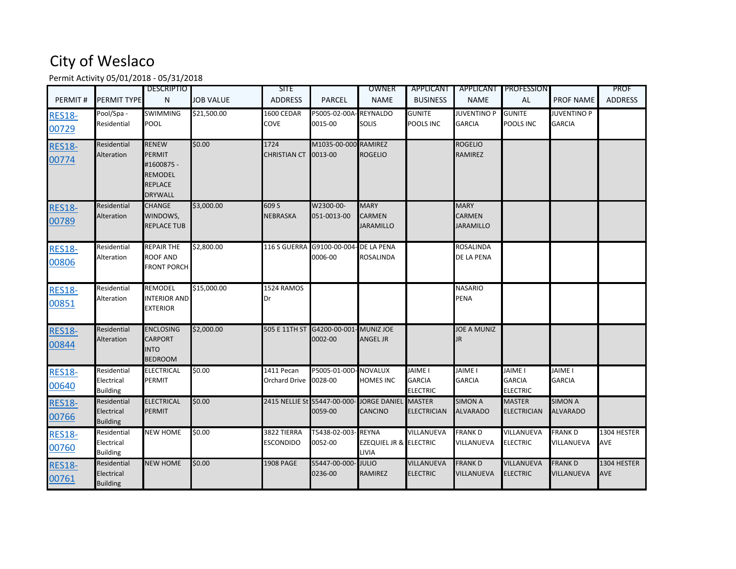## City of Weslaco

Permit Activity 05/01/2018 - 05/31/2018

| PERMIT#                | PERMIT TYPE                                  | <b>DESCRIPTIO</b><br>N                                                                            | <b>JOB VALUE</b> | <b>SITE</b><br><b>ADDRESS</b>      | <b>PARCEL</b>                                    | OWNER<br><b>NAME</b>                                       | APPLICANT<br><b>BUSINESS</b>                       | <b>NAME</b>                                      | APPLICANT PROFESSION<br><b>AL</b>                  | <b>PROF NAME</b>                    | <b>PROF</b><br><b>ADDRESS</b> |
|------------------------|----------------------------------------------|---------------------------------------------------------------------------------------------------|------------------|------------------------------------|--------------------------------------------------|------------------------------------------------------------|----------------------------------------------------|--------------------------------------------------|----------------------------------------------------|-------------------------------------|-------------------------------|
| <b>RES18-</b><br>00729 | Pool/Spa -<br>Residential                    | <b>SWIMMING</b><br>POOL                                                                           | \$21,500.00      | 1600 CEDAR<br>COVE                 | P5005-02-00A<br>0015-00                          | <b>REYNALDO</b><br>SOLIS                                   | <b>GUNITE</b><br>POOLS INC                         | <b>JUVENTINO P</b><br><b>GARCIA</b>              | <b>GUNITE</b><br>POOLS INC                         | <b>JUVENTINO P</b><br><b>GARCIA</b> |                               |
| <b>RES18-</b><br>00774 | Residential<br>Alteration                    | <b>RENEW</b><br><b>PERMIT</b><br>#1600875 -<br><b>REMODEL</b><br><b>REPLACE</b><br><b>DRYWALL</b> | \$0.00           | 1724<br><b>CHRISTIAN CT</b>        | M1035-00-000 RAMIREZ<br>0013-00                  | <b>ROGELIO</b>                                             |                                                    | <b>ROGELIO</b><br><b>RAMIREZ</b>                 |                                                    |                                     |                               |
| <b>RES18-</b><br>00789 | Residential<br>Alteration                    | <b>CHANGE</b><br>WINDOWS,<br><b>REPLACE TUB</b>                                                   | \$3,000.00       | 609 S<br><b>NEBRASKA</b>           | W2300-00-<br>051-0013-00                         | <b>MARY</b><br>CARMEN<br><b>JARAMILLO</b>                  |                                                    | <b>MARY</b><br><b>CARMEN</b><br><b>JARAMILLO</b> |                                                    |                                     |                               |
| <b>RES18-</b><br>00806 | Residential<br>Alteration                    | <b>REPAIR THE</b><br>ROOF AND<br><b>FRONT PORCH</b>                                               | \$2,800.00       |                                    | 116 S GUERRA G9100-00-004- DE LA PENA<br>0006-00 | ROSALINDA                                                  |                                                    | <b>ROSALINDA</b><br>DE LA PENA                   |                                                    |                                     |                               |
| <b>RES18-</b><br>00851 | Residential<br>Alteration                    | <b>REMODEL</b><br><b>INTERIOR AND</b><br><b>EXTERIOR</b>                                          | \$15,000.00      | 1524 RAMOS<br>Dr                   |                                                  |                                                            |                                                    | <b>NASARIO</b><br><b>PENA</b>                    |                                                    |                                     |                               |
| <b>RES18-</b><br>00844 | Residential<br>Alteration                    | <b>ENCLOSING</b><br><b>CARPORT</b><br><b>INTO</b><br><b>BEDROOM</b>                               | \$2,000.00       | 505 E 11TH ST                      | G4200-00-001<br>0002-00                          | MUNIZ JOE<br><b>ANGEL JR</b>                               |                                                    | <b>JOE A MUNIZ</b><br>JR.                        |                                                    |                                     |                               |
| <b>RES18-</b><br>00640 | Residential<br>Electrical<br><b>Building</b> | ELECTRICAL<br>PERMIT                                                                              | \$0.00           | 1411 Pecan<br><b>Orchard Drive</b> | P5005-01-00D<br>0028-00                          | - NOVALUX<br>HOMES INC                                     | <b>JAIME I</b><br><b>GARCIA</b><br><b>ELECTRIC</b> | <b>JAIME I</b><br><b>GARCIA</b>                  | <b>JAIME I</b><br><b>GARCIA</b><br><b>ELECTRIC</b> | <b>JAIME I</b><br><b>GARCIA</b>     |                               |
| <b>RES18-</b><br>00766 | Residential<br>Electrical<br><b>Building</b> | <b>ELECTRICAL</b><br><b>PERMIT</b>                                                                | \$0.00           | 2415 NELLIE St S5447-00-000-       | 0059-00                                          | <b>JORGE DANIEL</b><br>CANCINO                             | <b>MASTER</b><br><b>ELECTRICIAN</b>                | <b>SIMON A</b><br><b>ALVARADO</b>                | <b>MASTER</b><br><b>ELECTRICIAN</b>                | <b>SIMON A</b><br><b>ALVARADO</b>   |                               |
| <b>RES18-</b><br>00760 | Residential<br>Electrical<br><b>Building</b> | <b>NEW HOME</b>                                                                                   | \$0.00           | 3822 TIERRA<br><b>ESCONDIDO</b>    | T5438-02-003<br>0052-00                          | <b>REYNA</b><br><b>EZEQUIEL JR &amp; ELECTRIC</b><br>LIVIA | VILLANUEVA                                         | <b>FRANK D</b><br>VILLANUEVA                     | VILLANUEVA<br><b>ELECTRIC</b>                      | <b>FRANK D</b><br>VILLANUEVA        | 1304 HESTER<br><b>AVE</b>     |
| <b>RES18-</b><br>00761 | Residential<br>Electrical<br><b>Building</b> | <b>NEW HOME</b>                                                                                   | \$0.00           | 1908 PAGE                          | S5447-00-000-<br>0236-00                         | <b>JULIO</b><br>RAMIREZ                                    | VILLANUEVA<br><b>ELECTRIC</b>                      | <b>FRANKD</b><br>VILLANUEVA                      | <b>VILLANUEVA</b><br><b>ELECTRIC</b>               | <b>FRANK D</b><br>VILLANUEVA        | 1304 HESTER<br><b>AVE</b>     |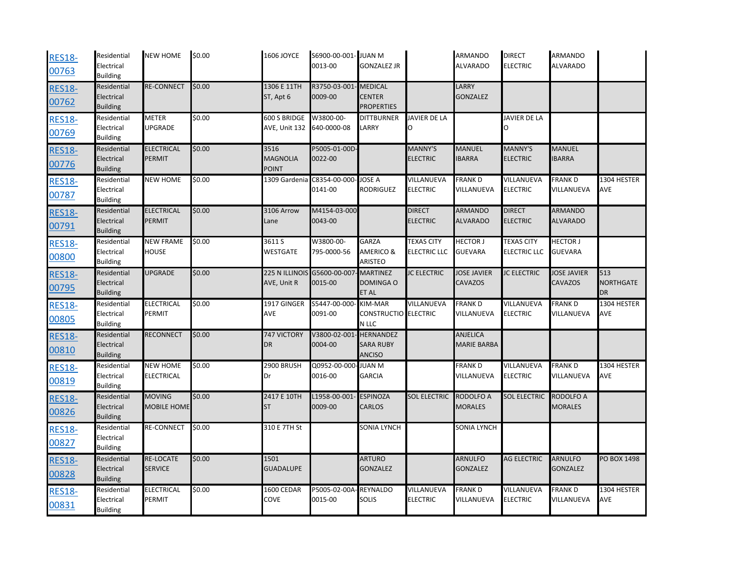| <b>RES18-</b><br>00763 | Residential<br>Electrical<br><b>Building</b> | <b>NEW HOME</b>                      | \$0.00 | 1606 JOYCE                              | S6900-00-001- JUAN M<br>0013-00 | <b>GONZALEZ JR</b>                                    |                                          | <b>ARMANDO</b><br><b>ALVARADO</b>     | <b>DIRECT</b><br><b>ELECTRIC</b>         | ARMANDO<br><b>ALVARADO</b>        |                           |
|------------------------|----------------------------------------------|--------------------------------------|--------|-----------------------------------------|---------------------------------|-------------------------------------------------------|------------------------------------------|---------------------------------------|------------------------------------------|-----------------------------------|---------------------------|
| <b>RES18-</b><br>00762 | Residential<br>Electrical<br><b>Building</b> | <b>RE-CONNECT</b>                    | \$0.00 | 1306 E 11TH<br>ST, Apt 6                | R3750-03-001<br>0009-00         | <b>MEDICAL</b><br><b>CENTER</b><br><b>PROPERTIES</b>  |                                          | LARRY<br><b>GONZALEZ</b>              |                                          |                                   |                           |
| <b>RES18-</b><br>00769 | Residential<br>Electrical<br><b>Building</b> | <b>METER</b><br>UPGRADE              | \$0.00 | 600 S BRIDGE<br>AVE, Unit 132           | W3800-00-<br>640-0000-08        | <b>DITTBURNER</b><br>LARRY                            | <b>JAVIER DE LA</b><br>0                 |                                       | <b>JAVIER DE LA</b><br>O                 |                                   |                           |
| <b>RES18-</b><br>00776 | Residential<br>Electrical<br><b>Building</b> | <b>ELECTRICAL</b><br>PERMIT          | \$0.00 | 3516<br><b>MAGNOLIA</b><br><b>POINT</b> | P5005-01-00D-<br>0022-00        |                                                       | <b>MANNY'S</b><br><b>ELECTRIC</b>        | <b>MANUEL</b><br><b>IBARRA</b>        | <b>MANNY'S</b><br><b>ELECTRIC</b>        | <b>MANUEL</b><br><b>BARRA</b>     |                           |
| <b>RES18-</b><br>00787 | Residential<br>Electrical<br><b>Building</b> | <b>NEW HOME</b>                      | \$0.00 | 1309 Gardenia                           | C8354-00-000<br>0141-00         | <b>JOSE A</b><br>RODRIGUEZ                            | VILLANUEVA<br><b>ELECTRIC</b>            | <b>FRANK D</b><br>VILLANUEVA          | VILLANUEVA<br><b>ELECTRIC</b>            | <b>FRANKD</b><br>VILLANUEVA       | 1304 HESTER<br><b>AVE</b> |
| <b>RES18-</b><br>00791 | Residential<br>Electrical<br><b>Building</b> | <b>ELECTRICAL</b><br><b>PERMIT</b>   | \$0.00 | 3106 Arrow<br>Lane                      | M4154-03-000<br>0043-00         |                                                       | <b>DIRECT</b><br><b>ELECTRIC</b>         | <b>ARMANDO</b><br><b>ALVARADO</b>     | <b>DIRECT</b><br><b>ELECTRIC</b>         | <b>ARMANDO</b><br><b>ALVARADO</b> |                           |
| <b>RES18-</b><br>00800 | Residential<br>Electrical<br><b>Building</b> | <b>NEW FRAME</b><br>HOUSE            | \$0.00 | 3611 S<br>WESTGATE                      | W3800-00-<br>795-0000-56        | GARZA<br>AMERICO &<br>ARISTEO                         | <b>TEXAS CITY</b><br><b>ELECTRIC LLC</b> | <b>HECTOR J</b><br><b>GUEVARA</b>     | <b>TEXAS CITY</b><br><b>ELECTRIC LLC</b> | <b>HECTOR J</b><br><b>GUEVARA</b> |                           |
| <b>RES18-</b><br>00795 | Residential<br>Electrical<br><b>Building</b> | <b>UPGRADE</b>                       | \$0.00 | 225 N ILLINOIS<br>AVE, Unit R           | G5600-00-007<br>0015-00         | <b>MARTINEZ</b><br>DOMINGA O<br>ET AL                 | <b>JC ELECTRIC</b>                       | <b>JOSE JAVIER</b><br><b>CAVAZOS</b>  | <b>JC ELECTRIC</b>                       | <b>JOSE JAVIER</b><br>CAVAZOS     | 513<br>NORTHGATE<br>DR    |
| <b>RES18-</b><br>00805 | Residential<br>Electrical<br><b>Building</b> | <b>ELECTRICAL</b><br>PERMIT          | \$0.00 | 1917 GINGER<br>AVE                      | S5447-00-000<br>0091-00         | <b>KIM-MAR</b><br>CONSTRUCTIO ELECTRIC<br>N LLC       | VILLANUEVA                               | <b>FRANK D</b><br>VILLANUEVA          | VILLANUEVA<br><b>ELECTRIC</b>            | <b>FRANKD</b><br>VILLANUEVA       | 1304 HESTER<br>AVE        |
| <b>RES18-</b><br>00810 | Residential<br>Electrical<br><b>Building</b> | <b>RECONNECT</b>                     | \$0.00 | 747 VICTORY<br>DR                       | V3800-02-001<br>0004-00         | <b>HERNANDEZ</b><br><b>SARA RUBY</b><br><b>ANCISO</b> |                                          | <b>ANJELICA</b><br><b>MARIE BARBA</b> |                                          |                                   |                           |
| <b>RES18-</b><br>00819 | Residential<br>Electrical<br><b>Building</b> | <b>NEW HOME</b><br><b>ELECTRICAL</b> | \$0.00 | 2900 BRUSH<br>Dr                        | Q0952-00-000-JUAN M<br>0016-00  | <b>GARCIA</b>                                         |                                          | <b>FRANKD</b><br>VILLANUEVA           | VILLANUEVA<br><b>ELECTRIC</b>            | <b>FRANK D</b><br>VILLANUEVA      | 1304 HESTER<br>AVE        |
| <b>RES18-</b><br>00826 | Residential<br>Electrical<br><b>Building</b> | <b>MOVING</b><br><b>MOBILE HOME</b>  | \$0.00 | 2417 E 10TH<br><b>ST</b>                | L1958-00-001<br>0009-00         | <b>ESPINOZA</b><br>CARLOS                             | <b>SOL ELECTRIC</b>                      | RODOLFO A<br><b>MORALES</b>           | <b>SOL ELECTRIC</b>                      | RODOLFO A<br><b>MORALES</b>       |                           |
| <b>RES18-</b><br>00827 | Residential<br>Electrical<br><b>Building</b> | RE-CONNECT                           | \$0.00 | 310 E 7TH St                            |                                 | SONIA LYNCH                                           |                                          | SONIA LYNCH                           |                                          |                                   |                           |
| <b>RES18-</b><br>00828 | Residential<br>Electrical<br><b>Building</b> | <b>RE-LOCATE</b><br><b>SERVICE</b>   | \$0.00 | 1501<br><b>GUADALUPE</b>                |                                 | <b>ARTURO</b><br><b>GONZALEZ</b>                      |                                          | <b>ARNULFO</b><br><b>GONZALEZ</b>     | <b>AG ELECTRIC</b>                       | <b>ARNULFO</b><br><b>GONZALEZ</b> | PO BOX 1498               |
| <b>RES18-</b><br>00831 | Residential<br>Electrical<br><b>Building</b> | ELECTRICAL<br>PERMIT                 | \$0.00 | 1600 CEDAR<br>COVE                      | P5005-02-00A<br>0015-00         | <b>REYNALDO</b><br>SOLIS                              | VILLANUEVA<br><b>ELECTRIC</b>            | <b>FRANKD</b><br>VILLANUEVA           | VILLANUEVA<br><b>ELECTRIC</b>            | <b>FRANK D</b><br>VILLANUEVA      | 1304 HESTER<br>AVE        |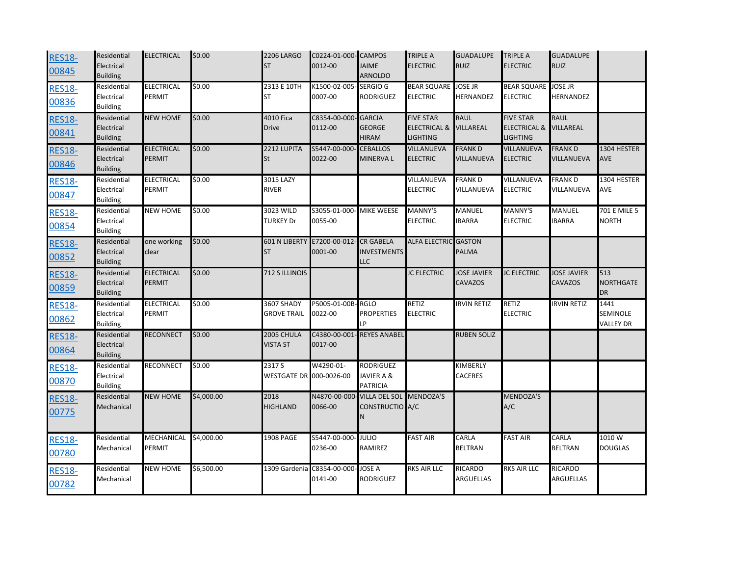| <b>RES18-</b><br>00845 | Residential<br>Electrical<br><b>Building</b> | <b>ELECTRICAL</b>                  | \$0.00     | <b>2206 LARGO</b><br><b>ST</b>    | C0224-01-000- CAMPOS<br>0012-00               | <b>JAIME</b><br>ARNOLDO                              | <b>TRIPLE A</b><br><b>ELECTRIC</b>                             | <b>GUADALUPE</b><br><b>RUIZ</b> | <b>TRIPLE A</b><br><b>ELECTRIC</b>                      | <b>GUADALUPE</b><br><b>RUIZ</b> |                                      |
|------------------------|----------------------------------------------|------------------------------------|------------|-----------------------------------|-----------------------------------------------|------------------------------------------------------|----------------------------------------------------------------|---------------------------------|---------------------------------------------------------|---------------------------------|--------------------------------------|
| <b>RES18-</b><br>00836 | Residential<br>Electrical<br><b>Building</b> | <b>ELECTRICAL</b><br><b>PERMIT</b> | \$0.00     | 2313 E 10TH<br><b>ST</b>          | K1500-02-005-<br>0007-00                      | <b>SERGIO G</b><br><b>RODRIGUEZ</b>                  | BEAR SQUARE JOSE JR<br><b>ELECTRIC</b>                         | HERNANDEZ                       | BEAR SQUARE JOSE JR<br><b>ELECTRIC</b>                  | HERNANDEZ                       |                                      |
| <b>RES18-</b><br>00841 | Residential<br>Electrical<br><b>Building</b> | <b>NEW HOME</b>                    | \$0.00     | 4010 Fica<br><b>Drive</b>         | C8354-00-000<br>0112-00                       | <b>GARCIA</b><br><b>GEORGE</b><br><b>HIRAM</b>       | <b>FIVE STAR</b><br><b>ELECTRICAL &amp;</b><br><b>LIGHTING</b> | <b>RAUL</b><br><b>VILLAREAL</b> | <b>FIVE STAR</b><br><b>ELECTRICAL &amp;</b><br>LIGHTING | <b>RAUL</b><br>VILLAREAL        |                                      |
| <b>RES18-</b><br>00846 | Residential<br>Electrical<br><b>Building</b> | <b>ELECTRICAL</b><br>PERMIT        | \$0.00     | 2212 LUPITA<br>St                 | S5447-00-000<br>0022-00                       | <b>CEBALLOS</b><br>MINERVA L                         | VILLANUEVA<br><b>ELECTRIC</b>                                  | <b>FRANKD</b><br>VILLANUEVA     | VILLANUEVA<br><b>ELECTRIC</b>                           | <b>FRANKD</b><br>VILLANUEVA     | 1304 HESTER<br><b>AVE</b>            |
| <b>RES18-</b><br>00847 | Residential<br>Electrical<br><b>Building</b> | <b>ELECTRICAL</b><br>PERMIT        | \$0.00     | 3015 LAZY<br><b>RIVER</b>         |                                               |                                                      | VILLANUEVA<br><b>ELECTRIC</b>                                  | <b>FRANKD</b><br>VILLANUEVA     | VILLANUEVA<br><b>ELECTRIC</b>                           | <b>FRANK D</b><br>VILLANUEVA    | 1304 HESTER<br><b>AVE</b>            |
| <b>RES18-</b><br>00854 | Residential<br>Electrical<br><b>Building</b> | <b>NEW HOME</b>                    | \$0.00     | 3023 WILD<br><b>TURKEY Dr</b>     | S3055-01-000-<br>0055-00                      | <b>MIKE WEESE</b>                                    | <b>MANNY'S</b><br><b>ELECTRIC</b>                              | MANUEL<br><b>BARRA</b>          | MANNY'S<br><b>ELECTRIC</b>                              | MANUEL<br><b>BARRA</b>          | 701 E MILE 5<br><b>NORTH</b>         |
| <b>RES18-</b><br>00852 | Residential<br>Electrical<br><b>Building</b> | one working<br>clear               | \$0.00     | <b>601 N LIBERTY</b><br><b>ST</b> | E7200-00-012<br>0001-00                       | <b>CR GABELA</b><br><b>INVESTMENTS</b><br><b>LLC</b> | <b>ALFA ELECTRIC</b>                                           | <b>GASTON</b><br>PALMA          |                                                         |                                 |                                      |
| <b>RES18-</b><br>00859 | Residential<br>Electrical<br><b>Building</b> | <b>ELECTRICAL</b><br><b>PERMIT</b> | \$0.00     | 712 S ILLINOIS                    |                                               |                                                      | <b>JC ELECTRIC</b>                                             | <b>JOSE JAVIER</b><br>CAVAZOS   | <b>JC ELECTRIC</b>                                      | <b>JOSE JAVIER</b><br>CAVAZOS   | 513<br><b>NORTHGATE</b><br>DR        |
| <b>RES18-</b><br>00862 | Residential<br>Electrical<br><b>Building</b> | <b>ELECTRICAL</b><br>PERMIT        | \$0.00     | 3607 SHADY<br><b>GROVE TRAIL</b>  | P5005-01-00B-<br>0022-00                      | <b>RGLO</b><br><b>PROPERTIES</b><br>LP               | RETIZ<br><b>ELECTRIC</b>                                       | <b>RVIN RETIZ</b>               | RETIZ<br><b>ELECTRIC</b>                                | <b>RVIN RETIZ</b>               | 1441<br>SEMINOLE<br><b>VALLEY DR</b> |
| <b>RES18-</b><br>00864 | Residential<br>Electrical<br><b>Building</b> | <b>RECONNECT</b>                   | \$0.00     | 2005 CHULA<br><b>VISTA ST</b>     | C4380-00-001<br>0017-00                       | <b>REYES ANABEL</b>                                  |                                                                | <b>RUBEN SOLIZ</b>              |                                                         |                                 |                                      |
| <b>RES18-</b><br>00870 | Residential<br>Electrical<br><b>Building</b> | <b>RECONNECT</b>                   | \$0.00     | 2317 S<br>WESTGATE DR 000-0026-00 | W4290-01-                                     | <b>RODRIGUEZ</b><br>JAVIER A &<br><b>PATRICIA</b>    |                                                                | KIMBERLY<br>CACERES             |                                                         |                                 |                                      |
| <b>RES18-</b><br>00775 | Residential<br>Mechanical                    | <b>NEW HOME</b>                    | \$4,000.00 | 2018<br><b>HIGHLAND</b>           | N4870-00-000<br>0066-00                       | <b>VILLA DEL SOL</b><br>CONSTRUCTIO A/C<br>N         | MENDOZA'S                                                      |                                 | <b>MENDOZA'S</b><br>A/C                                 |                                 |                                      |
| <b>RES18-</b><br>00780 | Residential<br>Mechanical                    | MECHANICAL<br><b>PERMIT</b>        | \$4,000.00 | 1908 PAGE                         | S5447-00-000-<br>0236-00                      | JULIO<br>RAMIREZ                                     | <b>FAST AIR</b>                                                | CARLA<br><b>BELTRAN</b>         | <b>FAST AIR</b>                                         | CARLA<br><b>BELTRAN</b>         | 1010 W<br><b>DOUGLAS</b>             |
| <b>RES18-</b><br>00782 | Residential<br>Mechanical                    | <b>NEW HOME</b>                    | \$6,500.00 |                                   | 1309 Gardenia C8354-00-000- JOSE A<br>0141-00 | <b>RODRIGUEZ</b>                                     | <b>RKS AIR LLC</b>                                             | <b>RICARDO</b><br>ARGUELLAS     | RKS AIR LLC                                             | RICARDO<br>ARGUELLAS            |                                      |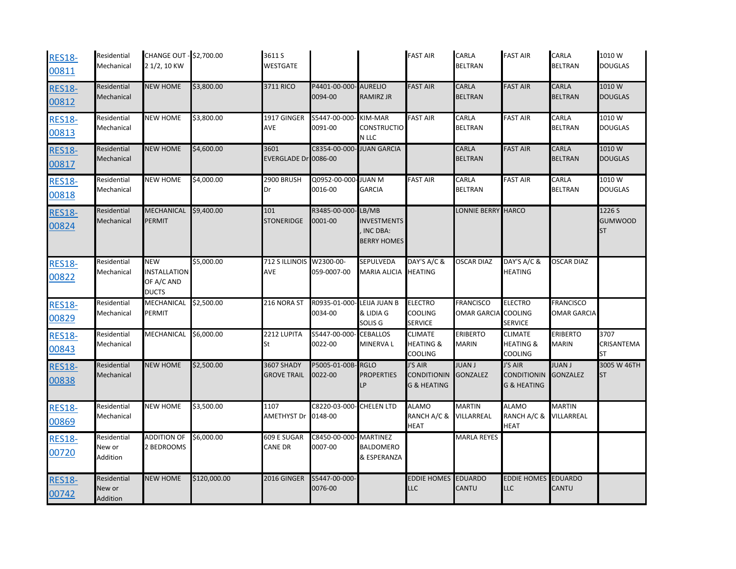| <b>RES18-</b><br>00811 | Residential<br>Mechanical         | CHANGE OUT - \$2,700.00<br>2 1/2, 10 KW                         |              | 3611 S<br><b>WESTGATE</b>               |                                  |                                                               | <b>FAST AIR</b>                                         | CARLA<br><b>BELTRAN</b>                | <b>FAST AIR</b>                                         | CARLA<br><b>BELTRAN</b>                | 1010W<br><b>DOUGLAS</b>               |
|------------------------|-----------------------------------|-----------------------------------------------------------------|--------------|-----------------------------------------|----------------------------------|---------------------------------------------------------------|---------------------------------------------------------|----------------------------------------|---------------------------------------------------------|----------------------------------------|---------------------------------------|
| <b>RES18-</b><br>00812 | Residential<br>Mechanical         | <b>NEW HOME</b>                                                 | \$3,800.00   | 3711 RICO                               | P4401-00-000- AURELIO<br>0094-00 | RAMIRZ JR                                                     | <b>FAST AIR</b>                                         | <b>CARLA</b><br><b>BELTRAN</b>         | <b>FAST AIR</b>                                         | CARLA<br><b>BELTRAN</b>                | 1010W<br><b>DOUGLAS</b>               |
| <b>RES18-</b><br>00813 | Residential<br>Mechanical         | <b>NEW HOME</b>                                                 | \$3,800.00   | 1917 GINGER<br><b>AVE</b>               | S5447-00-000<br>0091-00          | KIM-MAR<br>CONSTRUCTIO<br>N LLC                               | <b>FAST AIR</b>                                         | CARLA<br><b>BELTRAN</b>                | <b>FAST AIR</b>                                         | CARLA<br><b>BELTRAN</b>                | 1010W<br><b>DOUGLAS</b>               |
| <b>RES18-</b><br>00817 | Residential<br>Mechanical         | <b>NEW HOME</b>                                                 | \$4,600.00   | 3601<br>EVERGLADE Dr 0086-00            | C8354-00-000                     | <b>JUAN GARCIA</b>                                            |                                                         | <b>CARLA</b><br><b>BELTRAN</b>         | <b>FAST AIR</b>                                         | CARLA<br><b>BELTRAN</b>                | 1010W<br><b>DOUGLAS</b>               |
| <b>RES18-</b><br>00818 | Residential<br>Mechanical         | <b>NEW HOME</b>                                                 | \$4,000.00   | 2900 BRUSH<br>Dr                        | Q0952-00-000-JUAN M<br>0016-00   | <b>GARCIA</b>                                                 | <b>FAST AIR</b>                                         | CARLA<br><b>BELTRAN</b>                | <b>FAST AIR</b>                                         | CARLA<br><b>BELTRAN</b>                | 1010W<br><b>DOUGLAS</b>               |
| <b>RES18-</b><br>00824 | Residential<br>Mechanical         | <b>MECHANICAL</b><br><b>PERMIT</b>                              | \$9,400.00   | 101<br><b>STONERIDGE</b>                | R3485-00-000-<br>0001-00         | LB/MB<br><b>INVESTMENTS</b><br>INC DBA:<br><b>BERRY HOMES</b> |                                                         | LONNIE BERRY HARCO                     |                                                         |                                        | 1226 S<br><b>GUMWOOD</b><br><b>ST</b> |
| <b>RES18-</b><br>00822 | Residential<br>Mechanical         | <b>NEW</b><br><b>INSTALLATION</b><br>OF A/C AND<br><b>DUCTS</b> | \$5,000.00   | 712 S ILLINOIS W2300-00-<br><b>AVE</b>  | 059-0007-00                      | SEPULVEDA<br><b>MARIA ALICIA</b>                              | DAY'S A/C &<br><b>HEATING</b>                           | <b>OSCAR DIAZ</b>                      | DAY'S A/C &<br><b>HEATING</b>                           | OSCAR DIAZ                             |                                       |
| <b>RES18-</b><br>00829 | Residential<br>Mechanical         | MECHANICAL \$2,500.00<br><b>PERMIT</b>                          |              | 216 NORA ST                             | R0935-01-000<br>0034-00          | LEIJA JUAN B<br>& LIDIA G<br>SOLIS <sub>G</sub>               | <b>ELECTRO</b><br><b>COOLING</b><br><b>SERVICE</b>      | <b>FRANCISCO</b><br><b>OMAR GARCIA</b> | <b>ELECTRO</b><br><b>COOLING</b><br><b>SERVICE</b>      | <b>FRANCISCO</b><br><b>OMAR GARCIA</b> |                                       |
| <b>RES18-</b><br>00843 | Residential<br>Mechanical         | MECHANICAL \$6,000.00                                           |              | 2212 LUPITA<br>St                       | S5447-00-000<br>0022-00          | <b>CEBALLOS</b><br>MINERVA L                                  | <b>CLIMATE</b><br><b>HEATING &amp;</b><br>COOLING       | <b>ERIBERTO</b><br><b>MARIN</b>        | <b>CLIMATE</b><br><b>HEATING &amp;</b><br>COOLING       | <b>ERIBERTO</b><br><b>MARIN</b>        | 3707<br>CRISANTEMA<br>ST              |
| <b>RES18-</b><br>00838 | Residential<br>Mechanical         | <b>NEW HOME</b>                                                 | \$2,500.00   | <b>3607 SHADY</b><br><b>GROVE TRAIL</b> | P5005-01-00B-RGLO<br>0022-00     | <b>PROPERTIES</b><br>LP                                       | J'S AIR<br><b>CONDITIONIN</b><br><b>G &amp; HEATING</b> | <b>JUAN J</b><br><b>GONZALEZ</b>       | J'S AIR<br><b>CONDITIONIN</b><br><b>G &amp; HEATING</b> | <b>JUAN J</b><br><b>GONZALEZ</b>       | 3005 W 46TH<br>ST                     |
| <b>RES18-</b><br>00869 | Residential<br>Mechanical         | <b>NEW HOME</b>                                                 | \$3,500.00   | 1107<br><b>AMETHYST Dr</b>              | C8220-03-000-<br>0148-00         | <b>CHELEN LTD</b>                                             | <b>ALAMO</b><br>RANCH A/C &<br><b>HEAT</b>              | <b>MARTIN</b><br>VILLARREAL            | <b>ALAMO</b><br>RANCH A/C &<br><b>HEAT</b>              | <b>MARTIN</b><br>VILLARREAL            |                                       |
| <b>RES18-</b><br>00720 | Residential<br>New or<br>Addition | <b>ADDITION OF</b><br>2 BEDROOMS                                | \$6,000.00   | 609 E SUGAR<br><b>CANE DR</b>           | C8450-00-000-MARTINEZ<br>0007-00 | <b>BALDOMERO</b><br>& ESPERANZA                               |                                                         | <b>MARLA REYES</b>                     |                                                         |                                        |                                       |
| <b>RES18-</b><br>00742 | Residential<br>New or<br>Addition | <b>NEW HOME</b>                                                 | \$120,000.00 | 2016 GINGER                             | S5447-00-000-<br>0076-00         |                                                               | <b>EDDIE HOMES</b><br><b>LLC</b>                        | <b>EDUARDO</b><br><b>CANTU</b>         | <b>EDDIE HOMES</b><br><b>LLC</b>                        | <b>EDUARDO</b><br>CANTU                |                                       |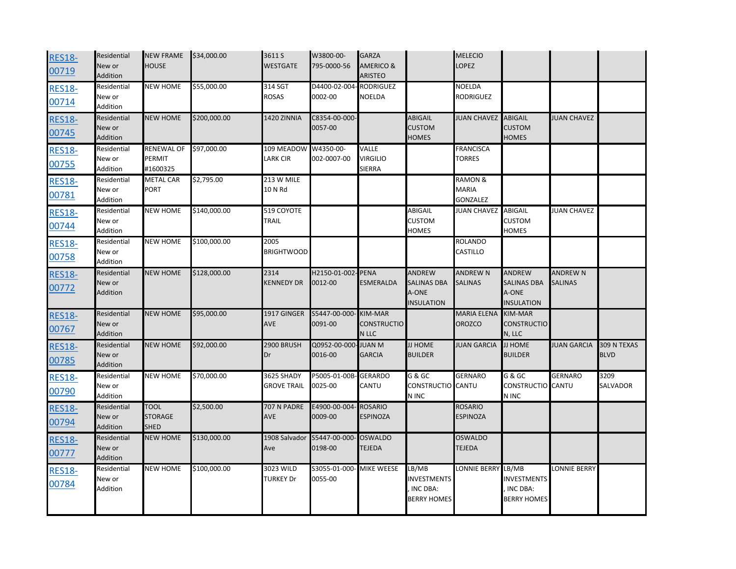| <b>RES18-</b><br>00719 | Residential<br>New or<br>Addition | <b>NEW FRAME</b><br><b>HOUSE</b>             | \$34,000.00  | 3611 S<br><b>WESTGATE</b>        | W3800-00-<br>795-0000-56 | <b>GARZA</b><br><b>AMERICO &amp;</b><br><b>ARISTEO</b> |                                                                   | <b>MELECIO</b><br>LOPEZ                               |                                                                   |                                   |                            |
|------------------------|-----------------------------------|----------------------------------------------|--------------|----------------------------------|--------------------------|--------------------------------------------------------|-------------------------------------------------------------------|-------------------------------------------------------|-------------------------------------------------------------------|-----------------------------------|----------------------------|
| <b>RES18-</b><br>00714 | Residential<br>New or<br>Addition | <b>NEW HOME</b>                              | \$55,000.00  | 314 SGT<br>ROSAS                 | D4400-02-004<br>0002-00  | <b>RODRIGUEZ</b><br><b>NOELDA</b>                      |                                                                   | <b>NOELDA</b><br>RODRIGUEZ                            |                                                                   |                                   |                            |
| <b>RES18-</b><br>00745 | Residential<br>New or<br>Addition | <b>NEW HOME</b>                              | \$200,000.00 | <b>1420 ZINNIA</b>               | C8354-00-000-<br>0057-00 |                                                        | <b>ABIGAIL</b><br><b>CUSTOM</b><br>HOMES                          | <b>JUAN CHAVEZ</b>                                    | <b>ABIGAIL</b><br><b>CUSTOM</b><br><b>HOMES</b>                   | <b>JUAN CHAVEZ</b>                |                            |
| <b>RES18-</b><br>00755 | Residential<br>New or<br>Addition | <b>RENEWAL OF</b><br>PERMIT<br>#1600325      | \$97,000.00  | 109 MEADOW<br>LARK CIR           | W4350-00-<br>002-0007-00 | VALLE<br><b>VIRGILIO</b><br><b>SIERRA</b>              |                                                                   | <b>FRANCISCA</b><br><b>TORRES</b>                     |                                                                   |                                   |                            |
| <b>RES18-</b><br>00781 | Residential<br>New or<br>Addition | <b>METAL CAR</b><br><b>PORT</b>              | \$2,795.00   | 213 W MILE<br>10 N Rd            |                          |                                                        |                                                                   | <b>RAMON &amp;</b><br><b>MARIA</b><br><b>GONZALEZ</b> |                                                                   |                                   |                            |
| <b>RES18-</b><br>00744 | Residential<br>New or<br>Addition | <b>NEW HOME</b>                              | \$140,000.00 | 519 COYOTE<br>TRAIL              |                          |                                                        | ABIGAIL<br><b>CUSTOM</b><br>HOMES                                 | <b>JUAN CHAVEZ</b>                                    | <b>ABIGAIL</b><br><b>CUSTOM</b><br><b>HOMES</b>                   | <b>JUAN CHAVEZ</b>                |                            |
| <b>RES18-</b><br>00758 | Residential<br>New or<br>Addition | <b>NEW HOME</b>                              | \$100,000.00 | 2005<br><b>BRIGHTWOOD</b>        |                          |                                                        |                                                                   | ROLANDO<br>CASTILLO                                   |                                                                   |                                   |                            |
| <b>RES18-</b><br>00772 | Residential<br>New or<br>Addition | <b>NEW HOME</b>                              | \$128,000.00 | 2314<br><b>KENNEDY DR</b>        | H2150-01-002<br>0012-00  | - PENA<br>ESMERALDA                                    | <b>ANDREW</b><br><b>SALINAS DBA</b><br>A-ONE<br><b>INSULATION</b> | <b>ANDREW N</b><br><b>SALINAS</b>                     | <b>ANDREW</b><br><b>SALINAS DBA</b><br>A-ONE<br><b>INSULATION</b> | <b>ANDREW N</b><br><b>SALINAS</b> |                            |
| <b>RES18-</b><br>00767 | Residential<br>New or<br>Addition | <b>NEW HOME</b>                              | \$95,000.00  | 1917 GINGER<br><b>AVE</b>        | S5447-00-000<br>0091-00  | <b>KIM-MAR</b><br><b>CONSTRUCTIO</b><br>N LLC          |                                                                   | <b>MARIA ELENA</b><br>OROZCO                          | <b>KIM-MAR</b><br><b>CONSTRUCTIO</b><br>N, LLC                    |                                   |                            |
| <b>RES18-</b><br>00785 | Residential<br>New or<br>Addition | <b>NEW HOME</b>                              | \$92,000.00  | 2900 BRUSH<br>Dr                 | Q0952-00-000<br>0016-00  | <b>M VAUL</b><br><b>GARCIA</b>                         | JJ HOME<br><b>BUILDER</b>                                         | <b>JUAN GARCIA</b>                                    | JJ HOME<br><b>BUILDER</b>                                         | <b>JUAN GARCIA</b>                | 309 N TEXAS<br><b>BLVD</b> |
| <b>RES18-</b><br>00790 | Residential<br>New or<br>Addition | <b>NEW HOME</b>                              | \$70,000.00  | 3625 SHADY<br><b>GROVE TRAIL</b> | P5005-01-00B<br>0025-00  | <b>GERARDO</b><br>CANTU                                | G & GC<br>CONSTRUCTIO CANTU<br>N INC                              | <b>GERNARO</b>                                        | G & GC<br>CONSTRUCTIO CANTU<br>N INC                              | <b>GERNARO</b>                    | 3209<br><b>SALVADOR</b>    |
| <b>RES18-</b><br>00794 | Residential<br>New or<br>Addition | <b>TOOL</b><br><b>STORAGE</b><br><b>SHED</b> | \$2,500.00   | 707 N PADRE<br><b>AVE</b>        | E4900-00-004<br>0009-00  | <b>ROSARIO</b><br><b>ESPINOZA</b>                      |                                                                   | <b>ROSARIO</b><br><b>ESPINOZA</b>                     |                                                                   |                                   |                            |
| <b>RES18-</b><br>00777 | Residential<br>New or<br>Addition | <b>NEW HOME</b>                              | \$130,000.00 | 1908 Salvador<br>Ave             | S5447-00-000<br>0198-00  | <b>OSWALDO</b><br><b>TEJEDA</b>                        |                                                                   | OSWALDO<br><b>TEJEDA</b>                              |                                                                   |                                   |                            |
| <b>RES18-</b><br>00784 | Residential<br>New or<br>Addition | <b>NEW HOME</b>                              | \$100,000.00 | 3023 WILD<br><b>TURKEY Dr</b>    | S3055-01-000<br>0055-00  | <b>MIKE WEESE</b>                                      | LB/MB<br><b>INVESTMENTS</b><br>INC DBA:<br>BERRY HOMES            | LONNIE BERRY                                          | LB/MB<br>INVESTMENTS<br>INC DBA:<br>BERRY HOMES                   | LONNIE BERRY                      |                            |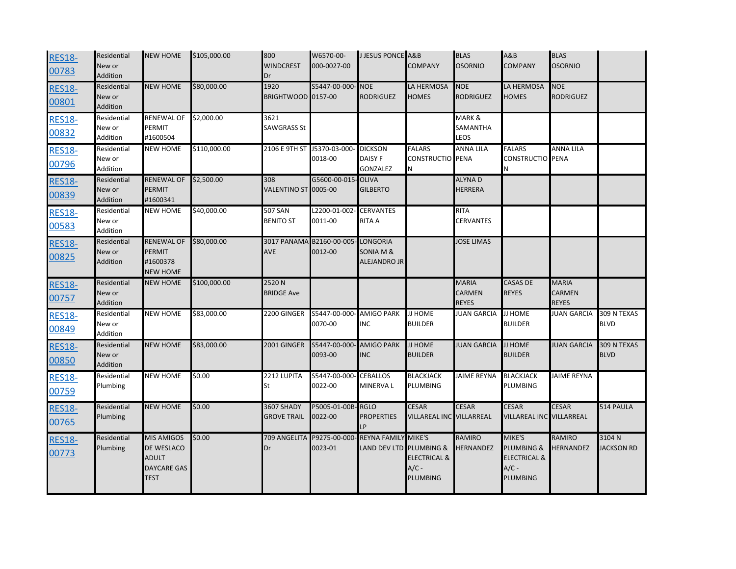| <b>RES18-</b><br>00783 | Residential<br>New or<br>Addition | <b>NEW HOME</b>                                                                      | \$105,000.00 | 800<br><b>WINDCREST</b><br>Dr    | W6570-00-<br>000-0027-00            | <b>J JESUS PONCE A&amp;B</b>                          | <b>COMPANY</b>                                 | <b>BLAS</b><br><b>OSORNIO</b>          | A&B<br><b>COMPANY</b>                                                  | <b>BLAS</b><br><b>OSORNIO</b>          |                            |
|------------------------|-----------------------------------|--------------------------------------------------------------------------------------|--------------|----------------------------------|-------------------------------------|-------------------------------------------------------|------------------------------------------------|----------------------------------------|------------------------------------------------------------------------|----------------------------------------|----------------------------|
| <b>RES18-</b><br>00801 | Residential<br>New or<br>Addition | <b>NEW HOME</b>                                                                      | \$80,000.00  | 1920<br>BRIGHTWOOD 0157-00       | S5447-00-000                        | <b>NOE</b><br><b>RODRIGUEZ</b>                        | LA HERMOSA<br><b>HOMES</b>                     | <b>NOE</b><br><b>RODRIGUEZ</b>         | LA HERMOSA<br>HOMES                                                    | <b>NOE</b><br>RODRIGUEZ                |                            |
| <b>RES18-</b><br>00832 | Residential<br>New or<br>Addition | <b>RENEWAL OF</b><br><b>PERMIT</b><br>#1600504                                       | \$2,000.00   | 3621<br>SAWGRASS St              |                                     |                                                       |                                                | MARK &<br>SAMANTHA<br>LEOS             |                                                                        |                                        |                            |
| <b>RES18-</b><br>00796 | Residential<br>New or<br>Addition | <b>NEW HOME</b>                                                                      | \$110,000.00 | 2106 E 9TH ST J5370-03-000       | 0018-00                             | <b>DICKSON</b><br><b>DAISY F</b><br><b>GONZALEZ</b>   | <b>FALARS</b><br><b>CONSTRUCTIO</b><br>N       | <b>ANNA LILA</b><br><b>PENA</b>        | <b>FALARS</b><br><b>CONSTRUCTIO</b>                                    | <b>ANNA LILA</b><br><b>PENA</b>        |                            |
| <b>RES18-</b><br>00839 | Residential<br>New or<br>Addition | <b>RENEWAL OF</b><br><b>PERMIT</b><br>#1600341                                       | \$2,500.00   | 308<br>VALENTINO ST 0005-00      | G5600-00-015                        | OLIVA<br><b>GILBERTO</b>                              |                                                | <b>ALYNAD</b><br><b>HERRERA</b>        |                                                                        |                                        |                            |
| <b>RES18-</b><br>00583 | Residential<br>New or<br>Addition | <b>NEW HOME</b>                                                                      | \$40,000.00  | 507 SAN<br><b>BENITO ST</b>      | L2200-01-002-<br>0011-00            | <b>CERVANTES</b><br><b>RITA A</b>                     |                                                | <b>RITA</b><br>CERVANTES               |                                                                        |                                        |                            |
| <b>RES18-</b><br>00825 | Residential<br>New or<br>Addition | <b>RENEWAL OF</b><br>PERMIT<br>#1600378<br><b>NEW HOME</b>                           | \$80,000.00  | <b>AVE</b>                       | 3017 PANAMA B2160-00-005<br>0012-00 | <b>LONGORIA</b><br>SONIA M &<br>ALEJANDRO JR          |                                                | <b>JOSE LIMAS</b>                      |                                                                        |                                        |                            |
| <b>RES18-</b><br>00757 | Residential<br>New or<br>Addition | <b>NEW HOME</b>                                                                      | \$100,000.00 | 2520N<br><b>BRIDGE Ave</b>       |                                     |                                                       |                                                | <b>MARIA</b><br>CARMEN<br><b>REYES</b> | CASAS DE<br><b>REYES</b>                                               | <b>MARIA</b><br>CARMEN<br><b>REYES</b> |                            |
| <b>RES18-</b><br>00849 | Residential<br>New or<br>Addition | <b>NEW HOME</b>                                                                      | \$83,000.00  | 2200 GINGER                      | S5447-00-000-<br>0070-00            | <b>AMIGO PARK</b><br><b>INC</b>                       | <b>JJ HOME</b><br><b>BUILDER</b>               | <b>JUAN GARCIA</b>                     | JJ HOME<br><b>BUILDER</b>                                              | <b>JUAN GARCIA</b>                     | 309 N TEXAS<br><b>BLVD</b> |
| <b>RES18-</b><br>00850 | Residential<br>New or<br>Addition | <b>NEW HOME</b>                                                                      | \$83,000.00  | 2001 GINGER                      | S5447-00-000<br>0093-00             | <b>AMIGO PARK</b><br><b>INC</b>                       | <b>JJ HOME</b><br><b>BUILDER</b>               | <b>JUAN GARCIA</b>                     | <b>JJ HOME</b><br><b>BUILDER</b>                                       | <b>JUAN GARCIA</b>                     | 309 N TEXAS<br><b>BLVD</b> |
| <b>RES18-</b><br>00759 | Residential<br>Plumbing           | <b>NEW HOME</b>                                                                      | \$0.00       | 2212 LUPITA<br>St                | S5447-00-000<br>0022-00             | <b>CEBALLOS</b><br><b>MINERVAL</b>                    | <b>BLACKJACK</b><br><b>PLUMBING</b>            | <b>JAIME REYNA</b>                     | <b>BLACKJACK</b><br>PLUMBING                                           | <b>JAIME REYNA</b>                     |                            |
| <b>RES18-</b><br>00765 | Residential<br>Plumbing           | <b>NEW HOME</b>                                                                      | \$0.00       | 3607 SHADY<br><b>GROVE TRAIL</b> | P5005-01-00B-RGLO<br>0022-00        | <b>PROPERTIES</b><br>LP                               | <b>CESAR</b><br>VILLAREAL INC VILLARREAL       | <b>CESAR</b>                           | <b>CESAR</b><br><b>VILLAREAL INC</b>                                   | <b>CESAR</b><br><b>VILLARREAL</b>      | 514 PAULA                  |
| <b>RES18-</b><br>00773 | Residential<br>Plumbing           | <b>MIS AMIGOS</b><br>DE WESLACO<br><b>ADULT</b><br><b>DAYCARE GAS</b><br><b>TEST</b> | \$0.00       | 709 ANGELITA<br>Dr               | P9275-00-000<br>0023-01             | <b>REYNA FAMILY MIKE'S</b><br>LAND DEV LTD PLUMBING & | <b>ELECTRICAL &amp;</b><br>$A/C -$<br>PLUMBING | <b>RAMIRO</b><br><b>HERNANDEZ</b>      | MIKE'S<br>PLUMBING &<br><b>ELECTRICAL &amp;</b><br>$A/C -$<br>PLUMBING | RAMIRO<br><b>HERNANDEZ</b>             | 3104N<br><b>JACKSON RD</b> |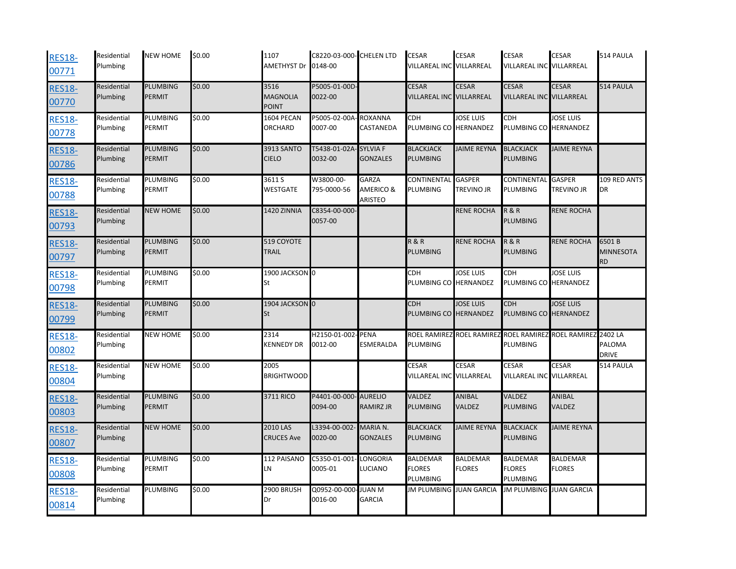| <b>RES18-</b><br>00771 | Residential<br>Plumbing | <b>NEW HOME</b>                  | \$0.00 | 1107<br><b>AMETHYST Dr</b>              | C8220-03-000- CHELEN LTD<br>0148-00 |                                      | <b>CESAR</b><br>VILLAREAL INC VILLARREAL     | <b>CESAR</b>                     | <b>CESAR</b><br>VILLAREAL INC VILLARREAL     | <b>CESAR</b>                     | 514 PAULA                                |
|------------------------|-------------------------|----------------------------------|--------|-----------------------------------------|-------------------------------------|--------------------------------------|----------------------------------------------|----------------------------------|----------------------------------------------|----------------------------------|------------------------------------------|
| <b>RES18-</b><br>00770 | Residential<br>Plumbing | PLUMBING<br><b>PERMIT</b>        | \$0.00 | 3516<br><b>MAGNOLIA</b><br><b>POINT</b> | P5005-01-00D-<br>0022-00            |                                      | <b>CESAR</b><br>VILLAREAL INC VILLARREAL     | <b>CESAR</b>                     | <b>CESAR</b><br>VILLAREAL INC VILLARREAL     | <b>CESAR</b>                     | 514 PAULA                                |
| <b>RES18-</b><br>00778 | Residential<br>Plumbing | PLUMBING<br>PERMIT               | \$0.00 | 1604 PECAN<br><b>ORCHARD</b>            | P5005-02-00A<br>0007-00             | <b>ROXANNA</b><br>CASTANEDA          | <b>CDH</b><br>PLUMBING CO HERNANDEZ          | JOSE LUIS                        | CDH<br>PLUMBING CO HERNANDEZ                 | <b>JOSE LUIS</b>                 |                                          |
| <b>RES18-</b><br>00786 | Residential<br>Plumbing | <b>PLUMBING</b><br><b>PERMIT</b> | \$0.00 | <b>3913 SANTO</b><br><b>CIELO</b>       | T5438-01-02A<br>0032-00             | <b>SYLVIAF</b><br><b>GONZALES</b>    | <b>BLACKJACK</b><br>PLUMBING                 | <b>JAIME REYNA</b>               | <b>BLACKJACK</b><br><b>PLUMBING</b>          | <b>JAIME REYNA</b>               |                                          |
| <b>RES18-</b><br>00788 | Residential<br>Plumbing | PLUMBING<br>PERMIT               | \$0.00 | 3611 S<br><b>WESTGATE</b>               | W3800-00-<br>795-0000-56            | <b>GARZA</b><br>AMERICO &<br>ARISTEO | <b>CONTINENTAI</b><br>PLUMBING               | <b>GASPER</b><br>TREVINO JR      | CONTINENTAL<br>PLUMBING                      | <b>GASPER</b><br>TREVINO JR      | 109 RED ANTS<br><b>DR</b>                |
| <b>RES18-</b><br>00793 | Residential<br>Plumbing | <b>NEW HOME</b>                  | \$0.00 | 1420 ZINNIA                             | C8354-00-000-<br>0057-00            |                                      |                                              | <b>RENE ROCHA</b>                | <b>R&amp;R</b><br><b>PLUMBING</b>            | <b>RENE ROCHA</b>                |                                          |
| <b>RES18-</b><br>00797 | Residential<br>Plumbing | <b>PLUMBING</b><br><b>PERMIT</b> | \$0.00 | 519 COYOTE<br><b>TRAIL</b>              |                                     |                                      | <b>R&amp;R</b><br>PLUMBING                   | <b>RENE ROCHA</b>                | <b>R&amp;R</b><br><b>PLUMBING</b>            | <b>RENE ROCHA</b>                | 6501B<br><b>MINNESOTA</b><br><b>RD</b>   |
| <b>RES18-</b><br>00798 | Residential<br>Plumbing | <b>PLUMBING</b><br><b>PERMIT</b> | \$0.00 | 1900 JACKSON 0<br>St                    |                                     |                                      | <b>CDH</b><br>PLUMBING CO HERNANDEZ          | <b>JOSE LUIS</b>                 | <b>CDH</b><br>PLUMBING CO HERNANDEZ          | <b>JOSE LUIS</b>                 |                                          |
| <b>RES18-</b><br>00799 | Residential<br>Plumbing | <b>PLUMBING</b><br><b>PERMIT</b> | \$0.00 | 1904 JACKSON 0<br>St                    |                                     |                                      | <b>CDH</b><br>PLUMBING CO HERNANDEZ          | <b>JOSE LUIS</b>                 | <b>CDH</b><br>PLUMBING CO HERNANDEZ          | <b>JOSE LUIS</b>                 |                                          |
| <b>RES18-</b><br>00802 | Residential<br>Plumbing | <b>NEW HOME</b>                  | \$0.00 | 2314<br><b>KENNEDY DR</b>               | H2150-01-002<br>0012-00             | <b>PENA</b><br>ESMERALDA             | <b>ROEL RAMIREZ</b><br>PLUMBING              | <b>ROEL RAMIREZ</b>              | <b>ROEL RAMIREZ</b><br>PLUMBING              | <b>ROEL RAMIREZ</b>              | 2402 LA<br><b>PALOMA</b><br><b>DRIVE</b> |
| <b>RES18-</b><br>00804 | Residential<br>Plumbing | <b>NEW HOME</b>                  | \$0.00 | 2005<br><b>BRIGHTWOOD</b>               |                                     |                                      | <b>CESAR</b><br>VILLAREAL INC VILLARREAL     | CESAR                            | CESAR<br>VILLAREAL INC VILLARREAL            | CESAR                            | 514 PAULA                                |
| <b>RES18-</b><br>00803 | Residential<br>Plumbing | PLUMBING<br><b>PERMIT</b>        | \$0.00 | 3711 RICO                               | P4401-00-000- AURELIO<br>0094-00    | RAMIRZ JR                            | VALDEZ<br>PLUMBING                           | ANIBAL<br>VALDEZ                 | VALDEZ<br><b>PLUMBING</b>                    | ANIBAL<br>VALDEZ                 |                                          |
| <b>RES18-</b><br>00807 | Residential<br>Plumbing | <b>NEW HOME</b>                  | \$0.00 | 2010 LAS<br><b>CRUCES Ave</b>           | L3394-00-002-<br>0020-00            | MARIA N.<br><b>GONZALES</b>          | <b>BLACKJACK</b><br><b>PLUMBING</b>          | <b>JAIME REYNA</b>               | <b>BLACKJACK</b><br><b>PLUMBING</b>          | <b>JAIME REYNA</b>               |                                          |
| <b>RES18-</b><br>00808 | Residential<br>Plumbing | PLUMBING<br><b>PERMIT</b>        | \$0.00 | 112 PAISANO<br>LN                       | C5350-01-001<br>0005-01             | LONGORIA<br>LUCIANO                  | <b>BALDEMAR</b><br><b>FLORES</b><br>PLUMBING | <b>BALDEMAR</b><br><b>FLORES</b> | <b>BALDEMAR</b><br><b>FLORES</b><br>PLUMBING | <b>BALDEMAR</b><br><b>FLORES</b> |                                          |
| <b>RES18-</b><br>00814 | Residential<br>Plumbing | <b>PLUMBING</b>                  | \$0.00 | 2900 BRUSH<br>Dr                        | Q0952-00-000<br>0016-00             | <b>N NAUL</b><br><b>GARCIA</b>       | <b>JM PLUMBING JUAN GARCIA</b>               |                                  | <b>JM PLUMBING JUAN GARCIA</b>               |                                  |                                          |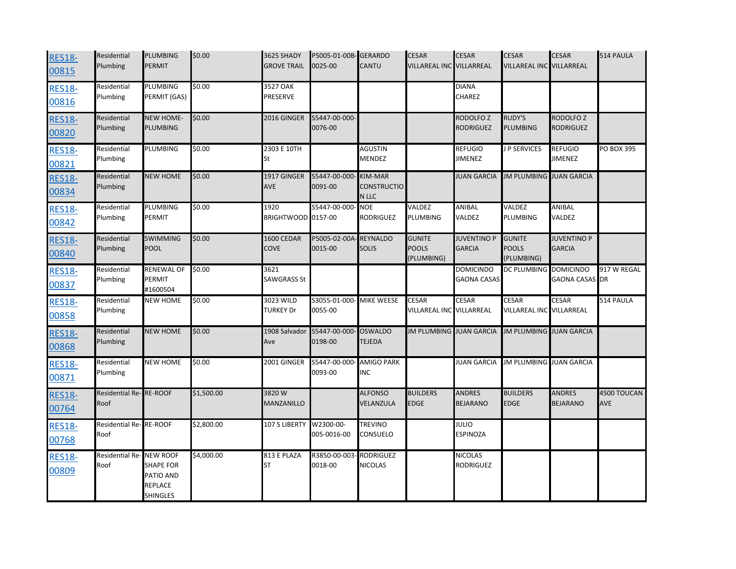| <b>RES18-</b><br>00815 | Residential<br>Plumbing         | <b>PLUMBING</b><br><b>PERMIT</b>                     | \$0.00     | 3625 SHADY<br><b>GROVE TRAIL</b> | P5005-01-00B-GERARDO<br>0025-00 | CANTU                                         | <b>CESAR</b><br><b>VILLAREAL INC VILLARREAL</b> | <b>CESAR</b>                             | <b>CESAR</b><br>VILLAREAL INC VILLARREAL    | <b>CESAR</b>                             | 514 PAULA                 |
|------------------------|---------------------------------|------------------------------------------------------|------------|----------------------------------|---------------------------------|-----------------------------------------------|-------------------------------------------------|------------------------------------------|---------------------------------------------|------------------------------------------|---------------------------|
| <b>RES18-</b><br>00816 | Residential<br>Plumbing         | PLUMBING<br>PERMIT (GAS)                             | \$0.00     | 3527 OAK<br>PRESERVE             |                                 |                                               |                                                 | <b>DIANA</b><br><b>CHAREZ</b>            |                                             |                                          |                           |
| <b>RES18-</b><br>00820 | Residential<br>Plumbing         | <b>NEW HOME-</b><br><b>PLUMBING</b>                  | \$0.00     | 2016 GINGER                      | S5447-00-000-<br>0076-00        |                                               |                                                 | RODOLFO <sub>Z</sub><br><b>RODRIGUEZ</b> | <b>RUDY'S</b><br><b>PLUMBING</b>            | RODOLFO <sub>Z</sub><br><b>RODRIGUEZ</b> |                           |
| <b>RES18-</b><br>00821 | Residential<br>Plumbing         | PLUMBING                                             | \$0.00     | 2303 E 10TH<br>St                |                                 | AGUSTIN<br>MENDEZ                             |                                                 | <b>REFUGIO</b><br><b>JIMENEZ</b>         | J P SERVICES                                | <b>REFUGIO</b><br><b>JIMENEZ</b>         | PO BOX 395                |
| <b>RES18-</b><br>00834 | Residential<br>Plumbing         | <b>NEW HOME</b>                                      | \$0.00     | $1917$ GINGER<br><b>AVE</b>      | S5447-00-000<br>0091-00         | <b>KIM-MAR</b><br><b>CONSTRUCTIO</b><br>N LLC |                                                 | <b>JUAN GARCIA</b>                       | <b>JM PLUMBING JUAN GARCIA</b>              |                                          |                           |
| <b>RES18-</b><br>00842 | Residential<br>Plumbing         | PLUMBING<br>PERMIT                                   | \$0.00     | 1920<br>BRIGHTWOOD 0157-00       | S5447-00-000                    | <b>NOE</b><br><b>RODRIGUEZ</b>                | VALDEZ<br>PLUMBING                              | ANIBAL<br>VALDEZ                         | VALDEZ<br><b>PLUMBING</b>                   | <b>ANIBAL</b><br>VALDEZ                  |                           |
| <b>RES18-</b><br>00840 | Residential<br>Plumbing         | <b>SWIMMING</b><br><b>POOL</b>                       | \$0.00     | 1600 CEDAR<br><b>COVE</b>        | P5005-02-00A<br>0015-00         | <b>REYNALDO</b><br><b>SOLIS</b>               | <b>GUNITE</b><br><b>POOLS</b><br>(PLUMBING)     | <b>JUVENTINO P</b><br><b>GARCIA</b>      | <b>GUNITE</b><br><b>POOLS</b><br>(PLUMBING) | <b>JUVENTINO P</b><br><b>GARCIA</b>      |                           |
| <b>RES18-</b><br>00837 | Residential<br>Plumbing         | <b>RENEWAL OF</b><br>PERMIT<br>#1600504              | \$0.00     | 3621<br>SAWGRASS St              |                                 |                                               |                                                 | <b>DOMICINDO</b><br><b>GAONA CASAS</b>   | DC PLUMBING DOMICINDO                       | <b>GAONA CASAS</b> DR                    | 917 W REGAL               |
| <b>RES18-</b><br>00858 | Residential<br>Plumbing         | <b>NEW HOME</b>                                      | \$0.00     | 3023 WILD<br><b>TURKEY Dr</b>    | S3055-01-000<br>0055-00         | <b>MIKE WEESE</b>                             | <b>CESAR</b><br>VILLAREAL INC VILLARREAL        | <b>CESAR</b>                             | <b>CESAR</b><br>VILLAREAL INC VILLARREAL    | <b>CESAR</b>                             | 514 PAULA                 |
| <b>RES18-</b><br>00868 | Residential<br>Plumbing         | <b>NEW HOME</b>                                      | \$0.00     | 1908 Salvador<br>Ave             | S5447-00-000<br>0198-00         | <b>OSWALDO</b><br><b>TEJEDA</b>               | <b>JM PLUMBING JUAN GARCIA</b>                  |                                          | <b>JM PLUMBING JUAN GARCIA</b>              |                                          |                           |
| <b>RES18-</b><br>00871 | Residential<br>Plumbing         | <b>NEW HOME</b>                                      | \$0.00     | 2001 GINGER                      | S5447-00-000<br>0093-00         | <b>AMIGO PARK</b><br><b>INC</b>               |                                                 | <b>JUAN GARCIA</b>                       | JM PLUMBING JUAN GARCIA                     |                                          |                           |
| <b>RES18-</b><br>00764 | Residential Re-RE-ROOF<br>Roof  |                                                      | \$1,500.00 | 3820W<br>MANZANILLO              |                                 | <b>ALFONSO</b><br>VELANZULA                   | <b>BUILDERS</b><br><b>EDGE</b>                  | <b>ANDRES</b><br><b>BEJARANO</b>         | <b>BUILDERS</b><br><b>EDGE</b>              | <b>ANDRES</b><br><b>BEJARANO</b>         | 4500 TOUCAN<br><b>AVE</b> |
| <b>RES18-</b><br>00768 | Residential Re-RE-ROOF<br>Roof  |                                                      | \$2,800.00 | 107 S LIBERTY                    | W2300-00-<br>005-0016-00        | <b>TREVINO</b><br>CONSUELO                    |                                                 | JULIO<br>ESPINOZA                        |                                             |                                          |                           |
| <b>RES18-</b><br>00809 | Residential Re-NEW ROOF<br>Roof | <b>SHAPE FOR</b><br>PATIO AND<br>REPLACE<br>SHINGLES | \$4,000.00 | 813 E PLAZA<br>ST                | R3850-00-003<br>0018-00         | <b>RODRIGUEZ</b><br><b>NICOLAS</b>            |                                                 | NICOLAS<br>RODRIGUEZ                     |                                             |                                          |                           |